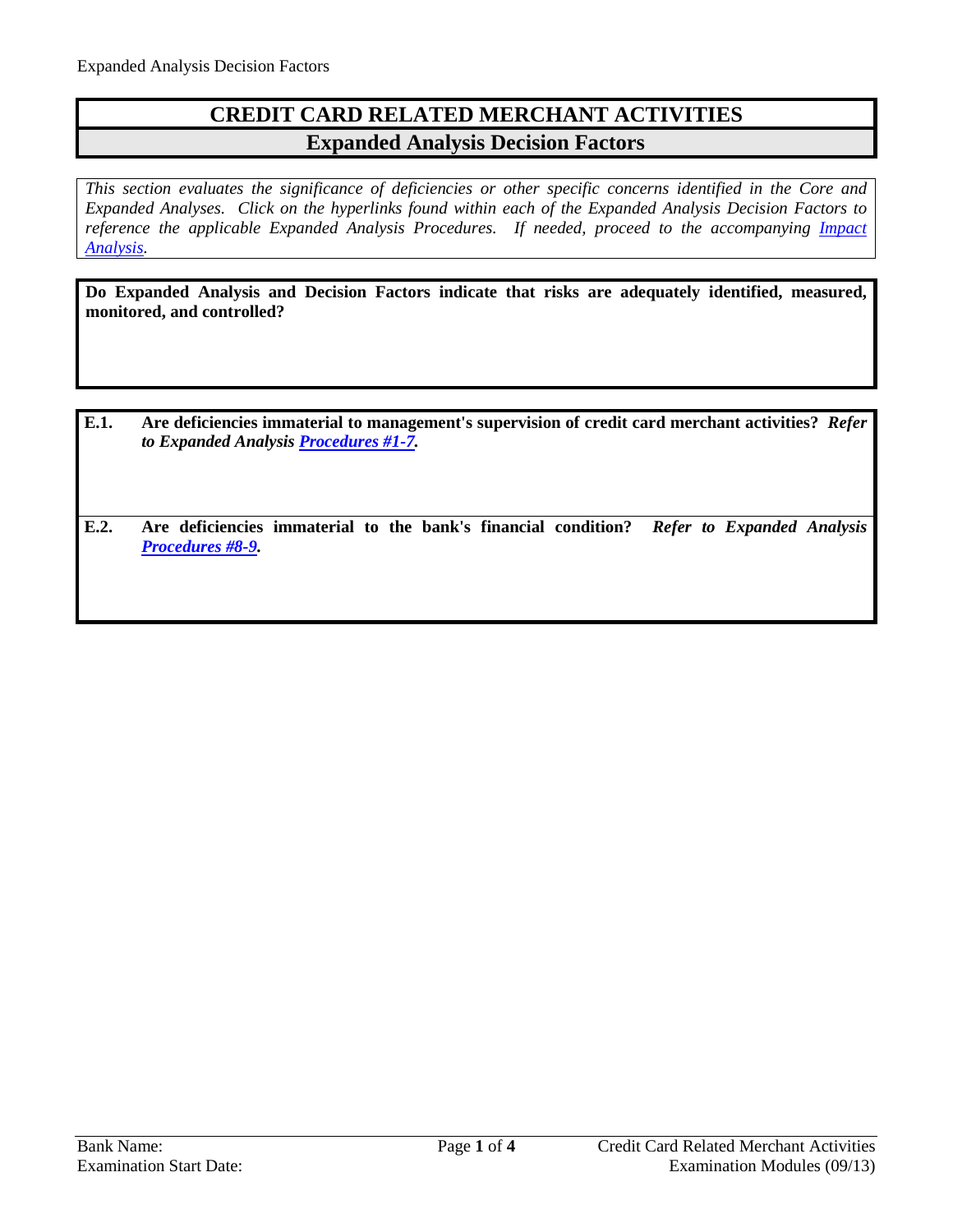## **CREDIT CARD RELATED MERCHANT ACTIVITIES Expanded Analysis Decision Factors**

*This section evaluates the significance of deficiencies or other specific concerns identified in the Core and Expanded Analyses. Click on the hyperlinks found within each of the Expanded Analysis Decision Factors to reference the applicable Expanded Analysis Procedures. If needed, proceed to the accompanying Impact [Analysis.](#page-3-0)*

**Do Expanded Analysis and Decision Factors indicate that risks are adequately identified, measured, monitored, and controlled?**

- **E.1. Are deficiencies immaterial to management's supervision of credit card merchant activities?** *Refer to Expanded Analysis [Procedures #1-7.](#page-1-0)*
- **E.2. Are deficiencies immaterial to the bank's financial condition?** *Refer to Expanded Analysis [Procedures #8-9.](#page-2-0)*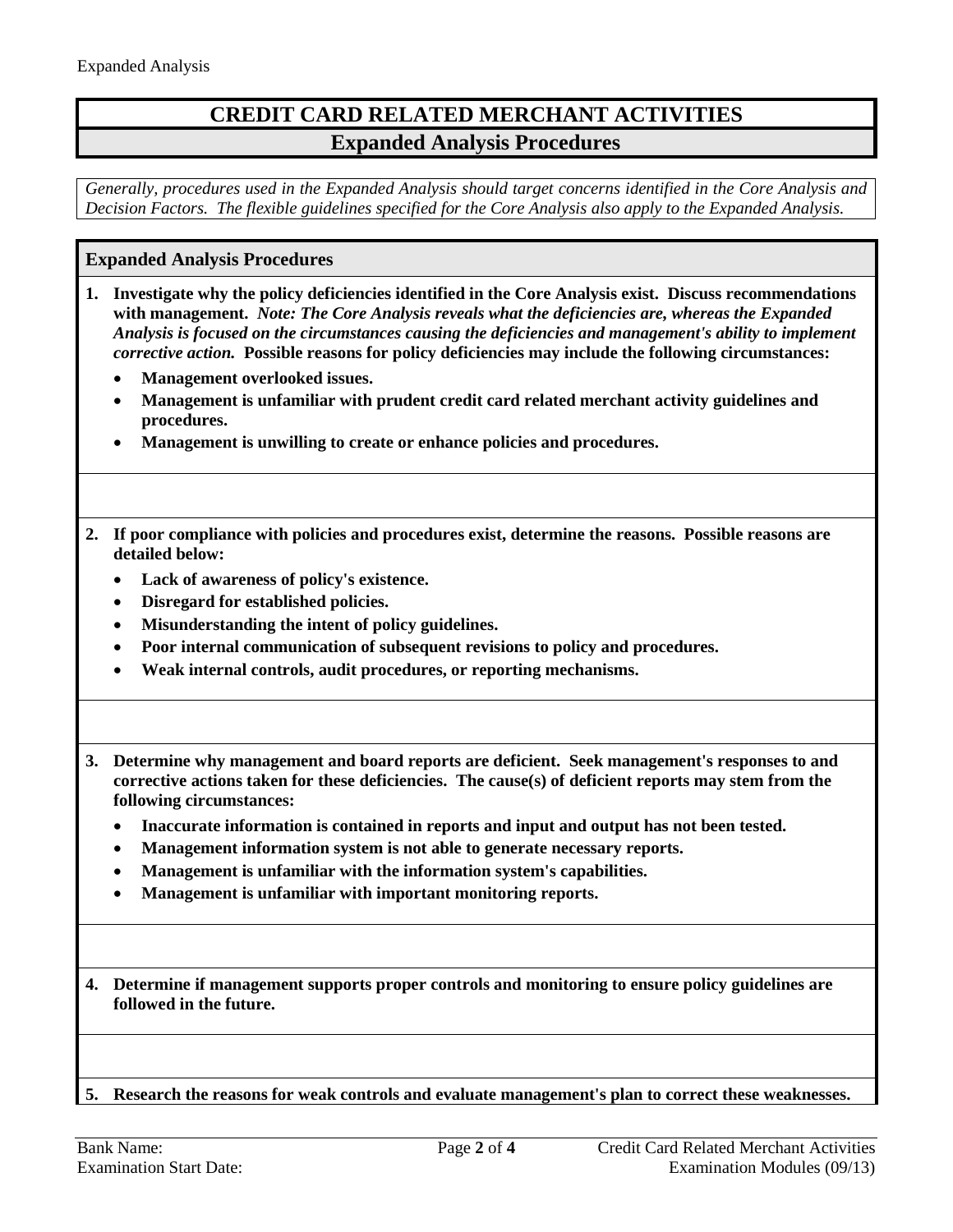## **CREDIT CARD RELATED MERCHANT ACTIVITIES Expanded Analysis Procedures**

*Generally, procedures used in the Expanded Analysis should target concerns identified in the Core Analysis and Decision Factors. The flexible guidelines specified for the Core Analysis also apply to the Expanded Analysis.*

## <span id="page-1-0"></span>**Expanded Analysis Procedures**

- **1. Investigate why the policy deficiencies identified in the Core Analysis exist. Discuss recommendations with management.** *Note: The Core Analysis reveals what the deficiencies are, whereas the Expanded Analysis is focused on the circumstances causing the deficiencies and management's ability to implement corrective action.* **Possible reasons for policy deficiencies may include the following circumstances:**
	- **Management overlooked issues.**
	- **Management is unfamiliar with prudent credit card related merchant activity guidelines and procedures.**
	- **Management is unwilling to create or enhance policies and procedures.**
- **2. If poor compliance with policies and procedures exist, determine the reasons. Possible reasons are detailed below:**
	- **Lack of awareness of policy's existence.**
	- **Disregard for established policies.**
	- **Misunderstanding the intent of policy guidelines.**
	- **Poor internal communication of subsequent revisions to policy and procedures.**
	- **Weak internal controls, audit procedures, or reporting mechanisms.**
- **3. Determine why management and board reports are deficient. Seek management's responses to and corrective actions taken for these deficiencies. The cause(s) of deficient reports may stem from the following circumstances:**
	- **Inaccurate information is contained in reports and input and output has not been tested.**
	- **Management information system is not able to generate necessary reports.**
	- **Management is unfamiliar with the information system's capabilities.**
	- **Management is unfamiliar with important monitoring reports.**
- **4. Determine if management supports proper controls and monitoring to ensure policy guidelines are followed in the future.**

**5. Research the reasons for weak controls and evaluate management's plan to correct these weaknesses.**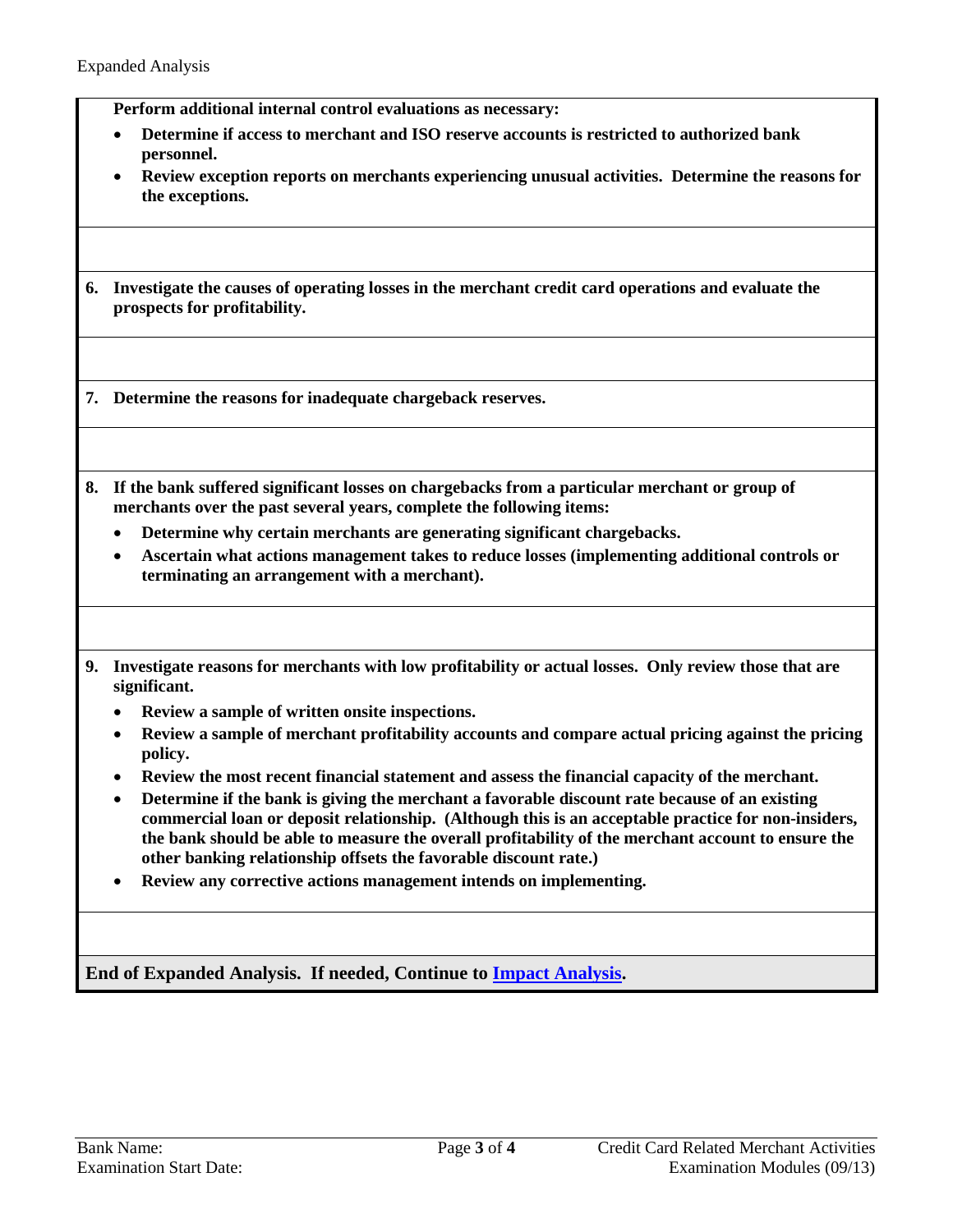**Perform additional internal control evaluations as necessary:**

- **Determine if access to merchant and ISO reserve accounts is restricted to authorized bank personnel.**
- **Review exception reports on merchants experiencing unusual activities. Determine the reasons for the exceptions.**
- **6. Investigate the causes of operating losses in the merchant credit card operations and evaluate the prospects for profitability.**

**7. Determine the reasons for inadequate chargeback reserves.**

- <span id="page-2-0"></span>**8. If the bank suffered significant losses on chargebacks from a particular merchant or group of merchants over the past several years, complete the following items:**
	- **Determine why certain merchants are generating significant chargebacks.**
	- **Ascertain what actions management takes to reduce losses (implementing additional controls or terminating an arrangement with a merchant).**
- **9. Investigate reasons for merchants with low profitability or actual losses. Only review those that are significant.**
	- **Review a sample of written onsite inspections.**
	- **Review a sample of merchant profitability accounts and compare actual pricing against the pricing policy.**
	- **Review the most recent financial statement and assess the financial capacity of the merchant.**
	- **Determine if the bank is giving the merchant a favorable discount rate because of an existing commercial loan or deposit relationship. (Although this is an acceptable practice for non-insiders, the bank should be able to measure the overall profitability of the merchant account to ensure the other banking relationship offsets the favorable discount rate.)**
	- **Review any corrective actions management intends on implementing.**

**End of Expanded Analysis. If needed, Continue to [Impact Analysis.](#page-3-0)**